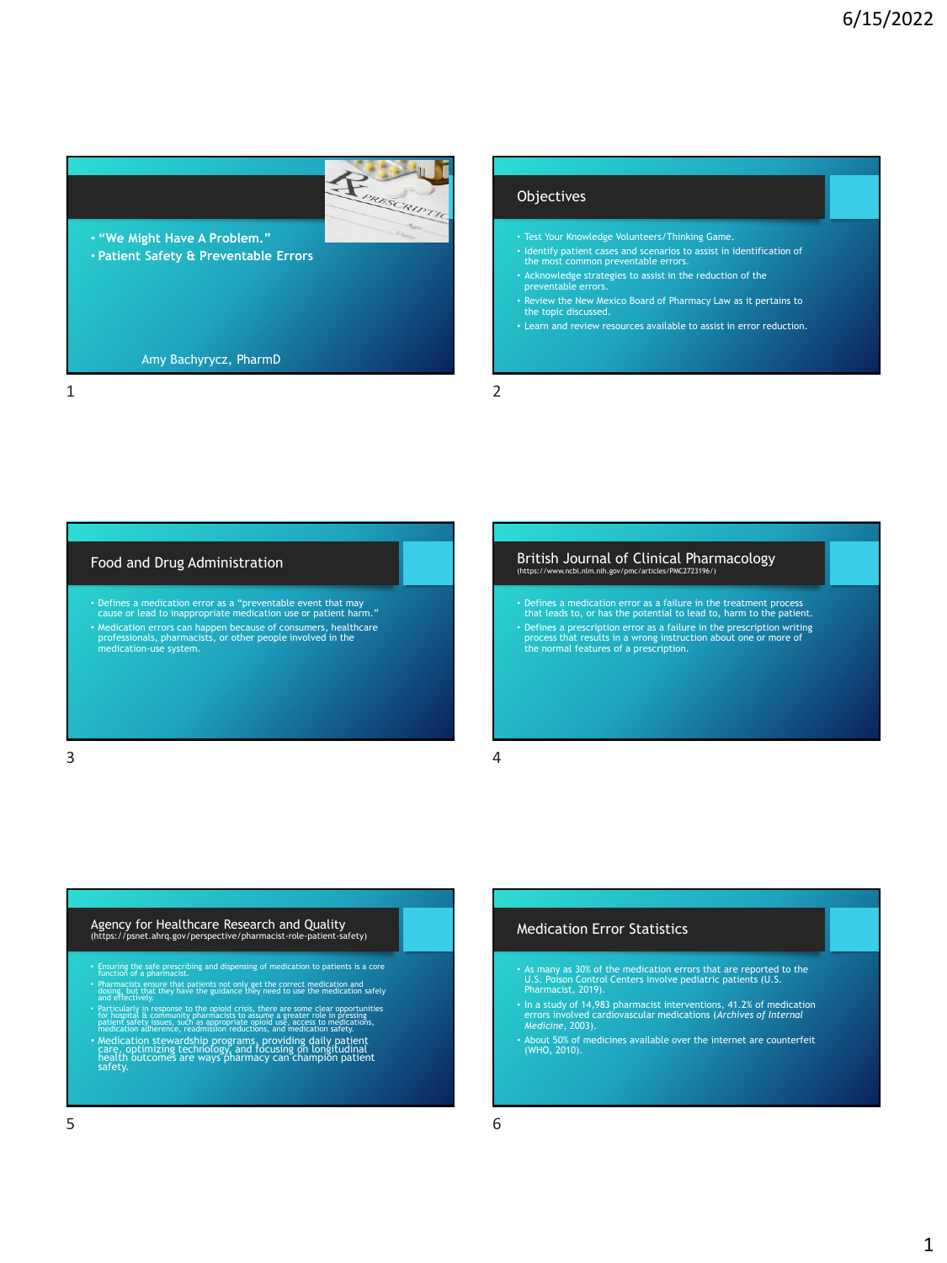

### 1 2

#### **Objectives**

- Test Your Knowledge Volunteers/Thinking Game.
- Identify patient cases and scenarios to assist in identification of the most common preventable errors.
- Acknowledge strategies to assist in the reduction of the preventable errors.
- Review the New Mexico Board of Pharmacy Law as it pertains to the topic discussed.
- Learn and review resources available to assist in error reduction.

#### Food and Drug Administration

• Defines a medication error as a "preventable event that may cause or lead to inappropriate medication use or patient harm." • Medication errors can happen because of consumers, healthcare professionals, pharmacists, or other people involved in the medication-use system.

#### British Journal of Clinical Pharmacology (https://www.nih.gov/pmc/articles/PMC2723196

• Defines a medication error as a failure in the treatment process that leads to, or has the potential to lead to, harm to the patient. • Defines a prescription error as a failure in the prescription writing process that results in a wrong instruction about one or more of the normal features of a prescription.

 $3 \hspace{2.5cm} 4$ 

#### Agency for Healthcare Research and Quality (https://psnet.ahrq.gov/perspective/pharmacist-role-patient-safety)

- Ensuring the safe prescribing and dispensing of medication to patients is a core function of a pharmacist.
- Pharmacists ensure that patients not only get the correct medication and and effectively. dosing, but that they have the guidance they need to use the medication safely
- 
- Particularly in response to the opioid crisis, there are some clear opportunities<br>for hospital at community pharmacists to assume a greater role in pressing<br>patient safety issues, such as appropriate opioid use, access to

#### Medication Error Statistics

- As many as 30% of the medication errors that are reported to the U.S. Poison Control Centers involve pediatric patients (U.S. Pharmacist, 2019).
- In a study of 14,983 pharmacist interventions, 41.2% of medication errors involved cardiovascular medications (*Archives of Internal Medicine*, 2003).
- About 50% of medicines available over the internet are counterfeit (WHO, 2010).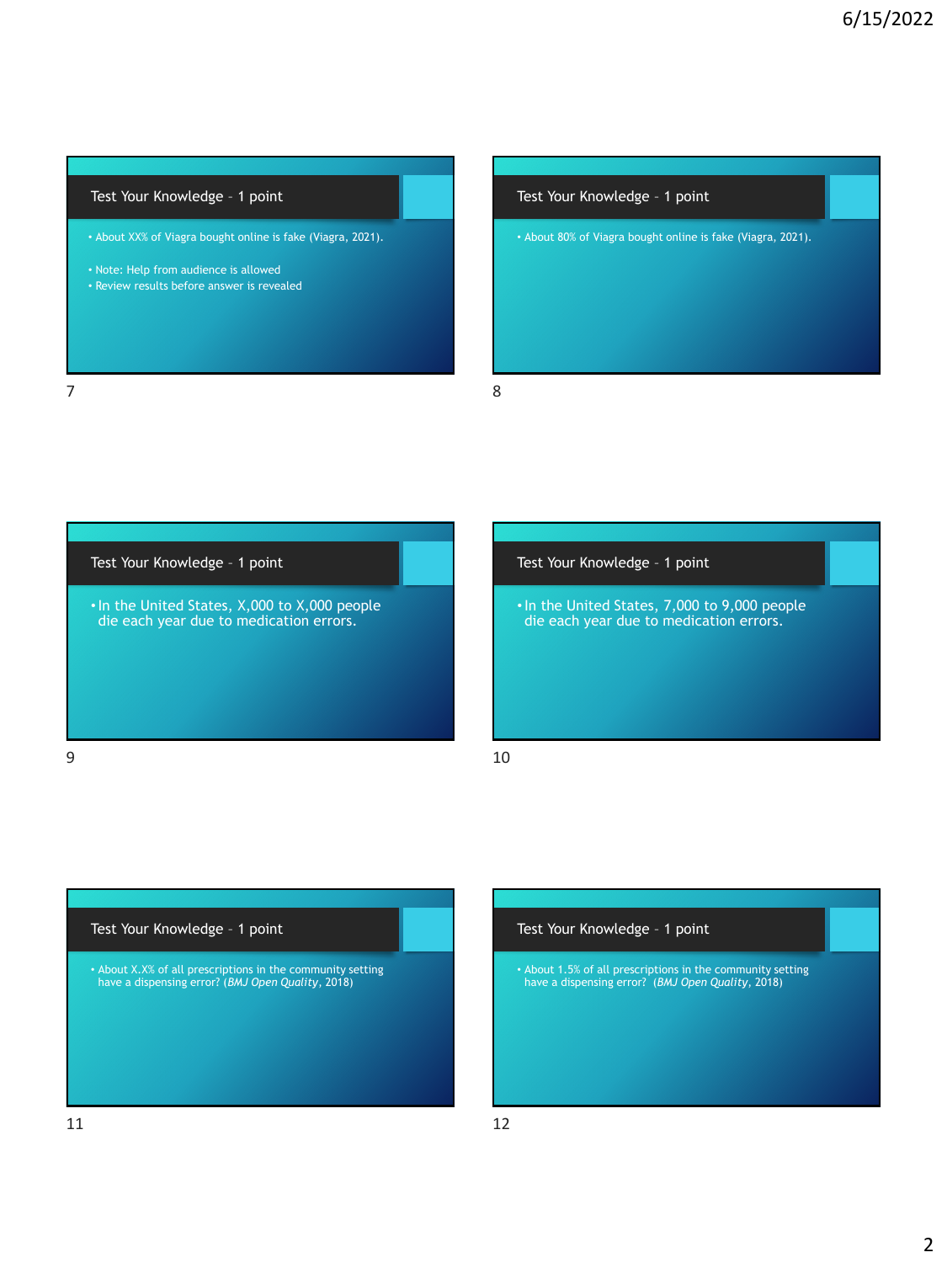#### Test Your Knowledge – 1 point

• About XX% of Viagra bought online is fake (Viagra, 2021).

- Note: Help from audience is allowed
- Review results before answer is revealed

# Test Your Knowledge – 1 point • About 80% of Viagra bought online is fake (Viagra, 2021).

7 8

Test Your Knowledge – 1 point

•In the United States, X,000 to X,000 people die each year due to medication errors.

Test Your Knowledge – 1 point

•In the United States, 7,000 to 9,000 people die each year due to medication errors.

 $9 \hspace{2.5cm} 10$ 

#### Test Your Knowledge – 1 point

• About X.X% of all prescriptions in the community setting have a dispensing error? (*BMJ Open Quality*, 2018)

#### Test Your Knowledge – 1 point

• About 1.5% of all prescriptions in the community setting have a dispensing error? (*BMJ Open Quality*, 2018)

11 12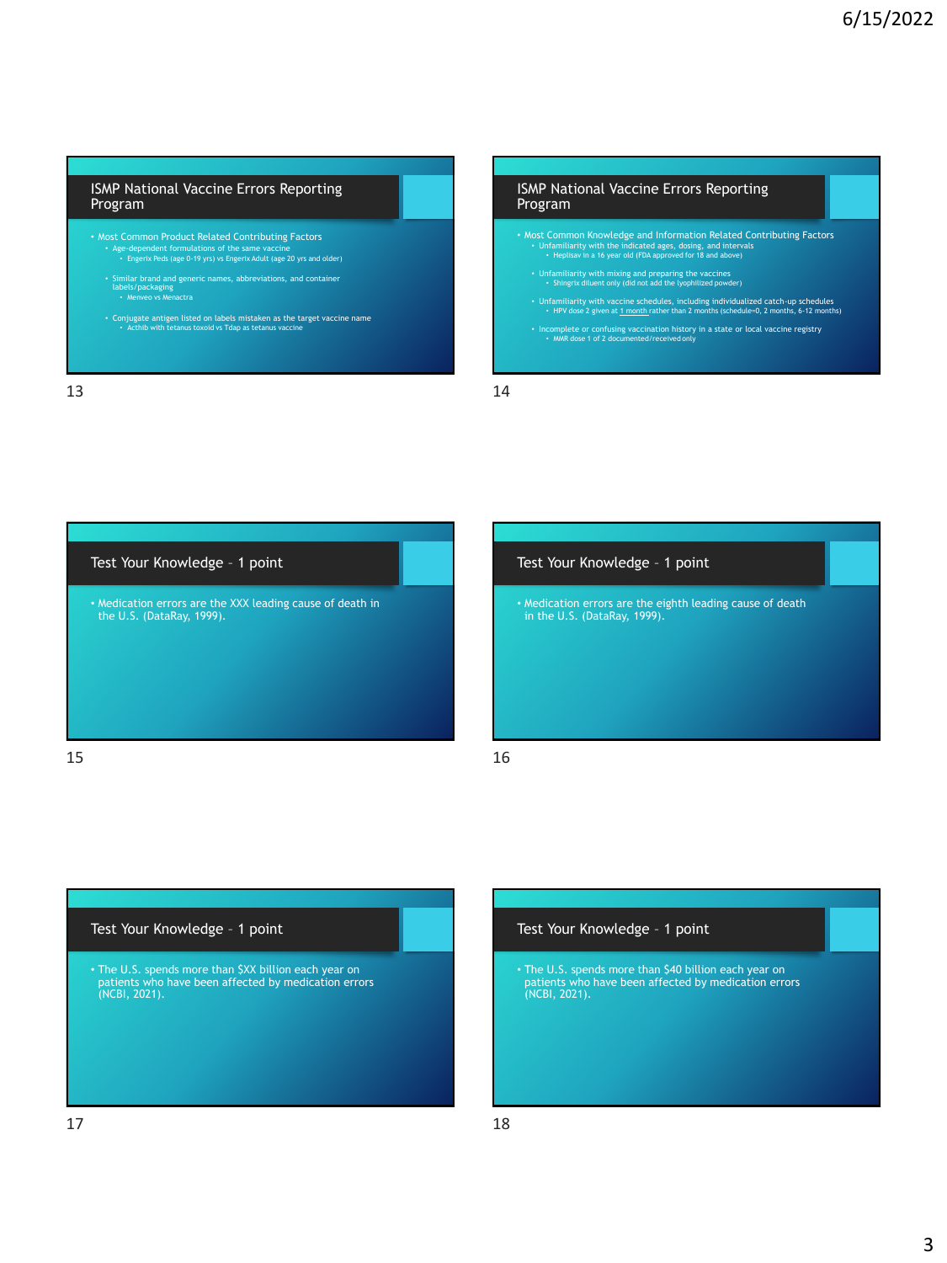#### ISMP National Vaccine Errors Reporting Program

- Most Common Product Related Contributing Factors • Age-dependent formulations of the same vaccine • Engerix Peds (age 0-19 yrs) vs Engerix Adult (age 20 yrs and older)
	- Similar brand and generic names, abbreviations, and container labels/packaging Menveo vs Menactra
- Conjugate antigen listed on labels mistaken as the target vaccine name Acthib with tetanus toxoid vs Tdap as tetanus vaccine

13 14

#### ISMP National Vaccine Errors Reporting Program

- Most Common Knowledge and Information Related Contributing Factors Unfamiliarity with the indicated ages, dosing, and intervals Heplisav in a 16 year old (FDA approved for 18 and above)
	- Unfamiliarity with mixing and preparing the vaccines Shingrix diluent only (did not add the lyophilized powder)
	- Unfamiliarity with vaccine schedules, including individualized catch-up schedules<br>• HPV dose 2 given at 1 month rather than 2 months (schedule=0, 2 months, 6-12 months)
- Incomplete or confusing vaccination history in a state or local vaccine registry MMR dose 1 of 2 documented/received only



# Test Your Knowledge – 1 point • Medication errors are the eighth leading cause of death in the U.S. (DataRay, 1999).

# Test Your Knowledge – 1 point • The U.S. spends more than \$XX billion each year on patients who have been affected by medication errors (NCBI, 2021).

#### Test Your Knowledge – 1 point

• The U.S. spends more than \$40 billion each year on patients who have been affected by medication errors (NCBI, 2021).

 $17$  and  $18$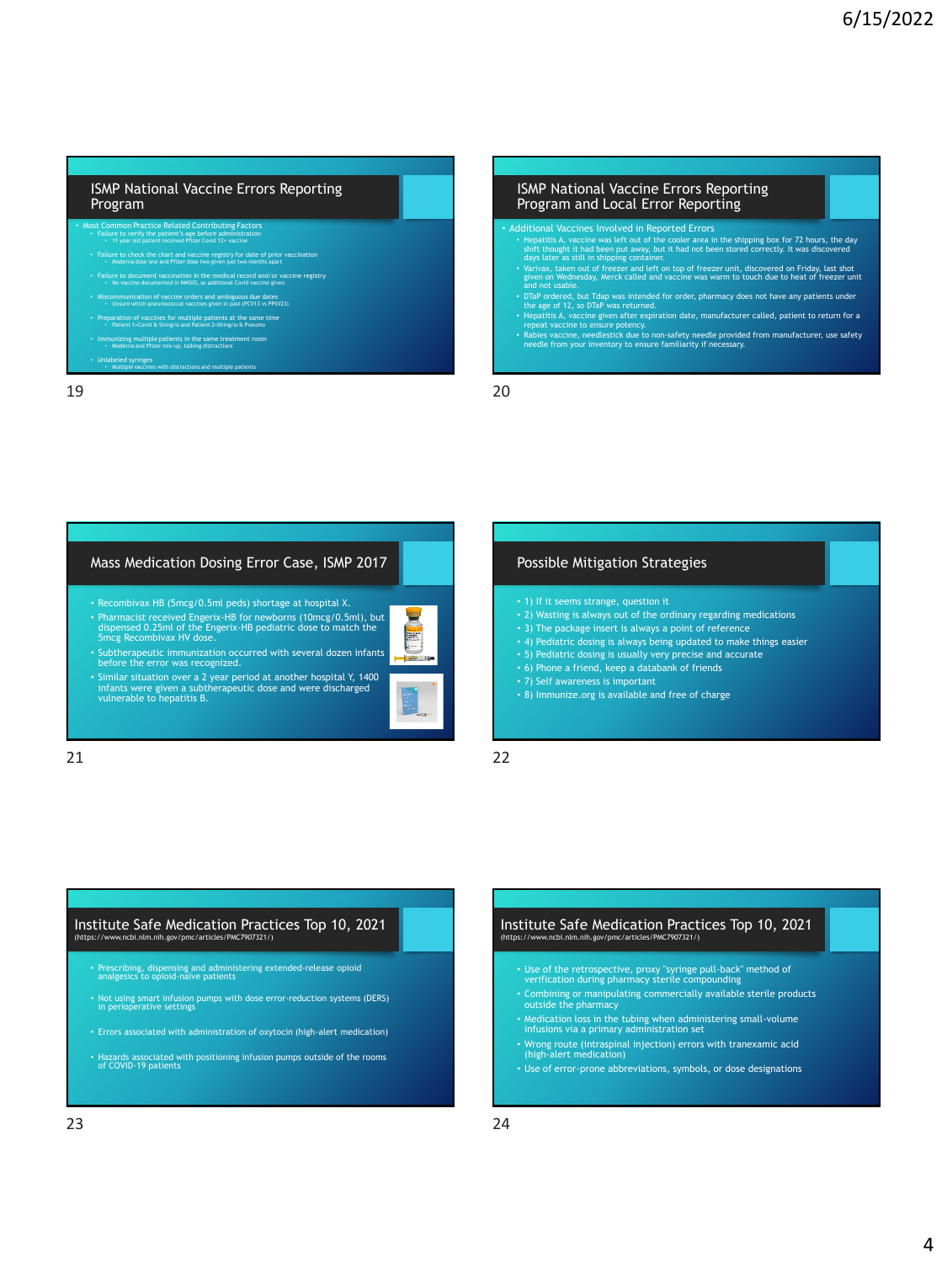#### ISMP National Vaccine Errors Reporting Program

**Common Practice Related Contributing Factors** • Failure to verify the patient's age before administration • 11 year old patient received Pfizer Covid 12+ vaccine

- Failure to check the chart and vaccine registry for date of prior vaccination Moderna dose one and Pfizer dose two given just two months apart
- Failure to document vaccination in the medical record and/or vaccine registry No vaccine documented in NMSIIS, so additional Covid vaccine given
- Miscommunication of vaccine orders and ambiguous due dates<br>Disume which pneumococcal vaccines given in past (PCV13 vs PPSV23)<br>Preparation of vaccines for multiple patients at the same time<br>Preparation of vaccines for multi
- 
- Immunizing multiple patients in the same treatment room Moderna and Pfizer mix-up, talking distractions
- Unlabeled syringes Multiple vaccines with distractions and multiple patients

19 20

#### ISMP National Vaccine Errors Reporting Program and Local Error Reporting

- 
- Additional Vaccines Involved in Reported Errors<br>
 Hepatitis A, waccine was left out of the cooler area in the shipping box for 72 hours, the day<br>
shift thought it had been put away, but it had not been stored correctly.
	-
- DTaP ordered, but Tdap was intended for order, pharmacy does not have any patients under<br>• Hepatitis A, vaccine given after expiration date, manufacturer called, patient to return for a<br>• Hepatitis A, vaccine given after
- 
- Rabies vaccine, needlestick due to non-safety needle provided from manufacturer, use safety needle from your inventory to ensure familiarity if necessary.

#### Mass Medication Dosing Error Case, ISMP 2017

• Recombivax HB (5mcg/0.5ml peds) shortage at hospital X. • Pharmacist received Engerix-HB for newborns (10mcg/0.5ml), but dispensed 0.25ml of the Engerix-HB pediatric dose to match the 5mcg Recombivax HV dose.



- Subtherapeutic immunization occurred with several dozen infants before the error was recognized.
- Similar situation over a 2 year period at another hospital Y, 1400 infants were given a subtherapeutic dose and were discharged vulnerable to hepatitis B.

#### Possible Mitigation Strategies

- 1) If it seems strange, question it
- 2) Wasting is always out of the ordinary regarding medications
- 3) The package insert is always a point of reference
- 4) Pediatric dosing is always being updated to make things easier
- 5) Pediatric dosing is usually very precise and accurate
- 6) Phone a friend, keep a databank of friends
- 7) Self awareness is important
- 8) Immunize.org is available and free of charge

21 22

#### Institute Safe Medication Practices Top 10, 2021 w.ncbi.nlm.nih.gov/pmc/articles/PMC7907321/1

- Prescribing, dispensing and administering extended-release opioid analgesics to opioid-naïve patients
- Not using smart infusion pumps with dose error-reduction systems (DERS) in perioperative settings
- Errors associated with administration of oxytocin (high-alert medication)
- Hazards associated with positioning infusion pumps outside of the rooms of COVID-19 patients

#### Institute Safe Medication Practices Top 10, 2021 (https://www.ncbi.nlm.nih.gov/pmc/articles/PMC7907321/)

- Use of the retrospective, proxy "syringe pull-back" method of verification during pharmacy sterile compounding
- Combining or manipulating commercially available sterile products outside the pharmacy
- Medication loss in the tubing when administering small-volume infusions via a primary administration set
- Wrong route (intraspinal injection) errors with tranexamic acid (high-alert medication)
- Use of error-prone abbreviations, symbols, or dose designations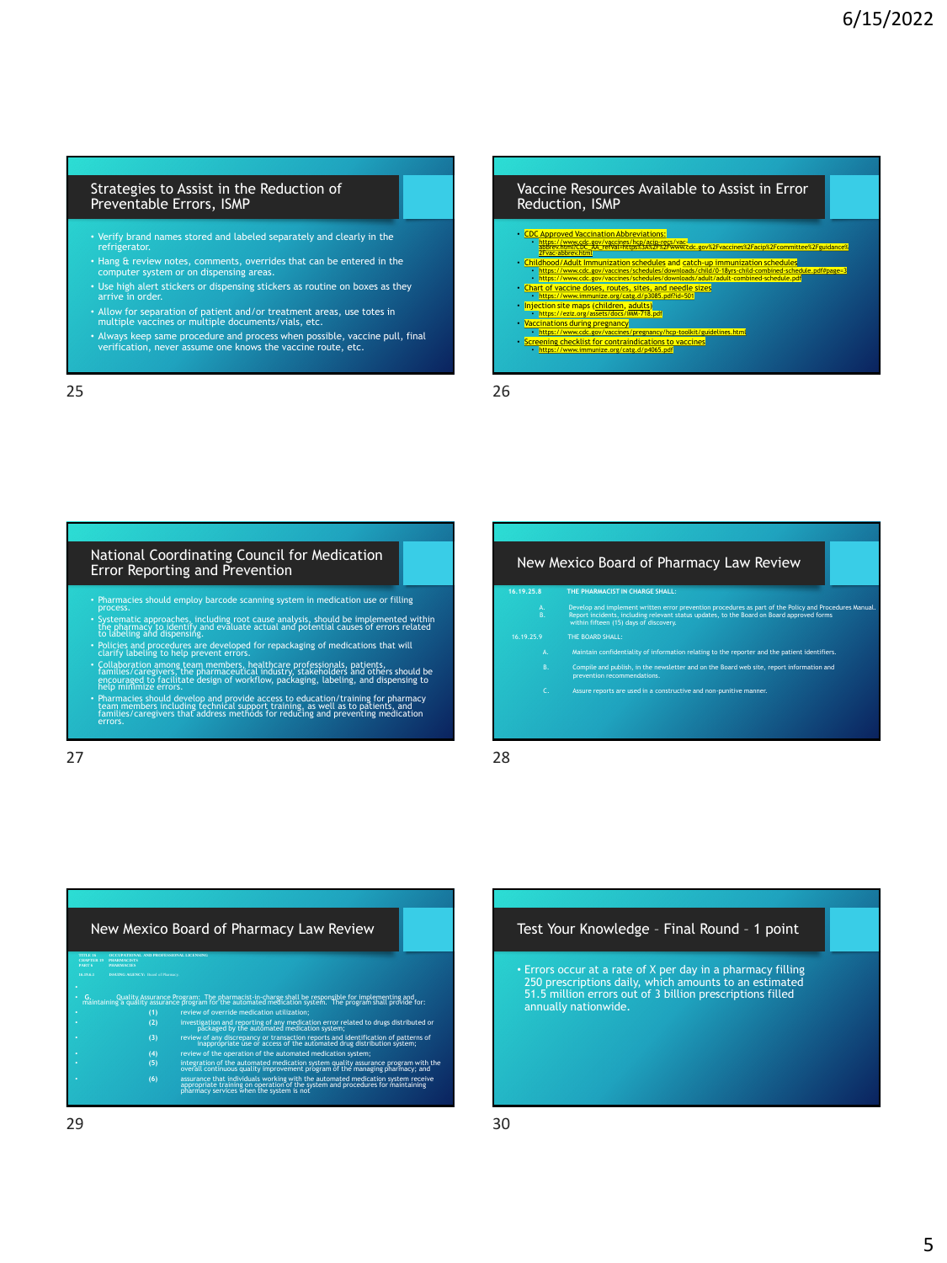#### Strategies to Assist in the Reduction of Preventable Errors, ISMP

- Verify brand names stored and labeled separately and clearly in the refrigerator.
- Hang & review notes, comments, overrides that can be entered in the computer system or on dispensing areas.
- Use high alert stickers or dispensing stickers as routine on boxes as they arrive in order
- Allow for separation of patient and/or treatment areas, use totes in multiple vaccines or multiple documents/vials, etc.
- Always keep same procedure and process when possible, vaccine pull, final verification, never assume one knows the vaccine route, etc.

25 26

## Vaccine Resources Available to Assist in Error Reduction, ISMP • [CDC Approved Vaccination Abbreviations:](https://www.cdc.gov/vaccines/hcp/acip-recs/vac-abbrev.html?CDC_AA_refVal=https%3A%2F%2Fwww.cdc.gov%2Fvaccines%2Facip%2Fcommittee%2Fguidance%2Fvac-abbrev.html) • https://www.cdc.gov/vaccines/hcp/acip-recs/vac-<br>| [abbrev.html?CDC\\_AA\\_refVal=https%3A%2F%2Fwww.cdc.gov%2Fvaccines%2Facip%2Fcommittee%2Fguidance%](https://www.cdc.gov/vaccines/hcp/acip-recs/vac-abbrev.html?CDC_AA_refVal=https%3A%2F%2Fwww.cdc.gov%2Fvaccines%2Facip%2Fcommittee%2Fguidance%2Fvac-abbrev.html)<br>| 2Fvac-abbrev.html Childhood /Adult Immunization schedules and [catch-up immunization schedules](https://www.cdc.gov/vaccines/schedules/downloads/child/0-18yrs-child-combined-schedule.pdf#page=3)<br> <https://www.cdc.gov/vaccines/schedules/downloads/child/0-18yrs-child-combined-schedule.pdf#page=3><br>
• https://www.cdc.gov/vaccines/schedules/downl

- 
- 

#### National Coordinating Council for Medication Error Reporting and Prevention

- Pharmacies should employ barcode scanning system in medication use or filling process.
- Systematic approaches, including root cause analysis, should be implemented within the pharmacy to identify and evaluate actual and potential causes of errors related to labeling and dispensing.
- 
- Policies and procedures are developed for repackaging of medications that will<br>clarify labeling to help prevent errors.<br>Collaboration among team members, healthcare professionals, patients,<br>families/caregivers, the pharm
- 

27 28

#### New Mexico Board of Pharmacy Law Review

### **16.19.25.8 THE PHARMACIST IN CHARGE SHALL**:

A. Develop and implement written error prevention procedures as part of the Policy and Procedures Manual.<br>B. Report incidents, including relevant status updates, to the Board on Board approved forms<br>within fifteen (15) day

- A. Maintain confidentiality of information relating to the reporter and the patient identifiers.
- B. Compile and publish, in the newsletter and on the Board web site, report information and prevention recommendations.
- Assure reports are used in a constructive and non-punitive manner.

#### New Mexico Board of Pharmacy Law Review

**CHAPTER 19 PHARMACISTS 16.19.6.1 ISSUING AGENCY:** Board of Pharmacy.

**TITLE 16 OCCUPATIONAL AND PROFESSIONAL LICENSING**

- **G.** Quality Assurance Program: The pharmacist-in-charge shall be responsible for implementing and maintaining a quality assurance program for the automated medication system. The program shall provide for:
- **(1)** review of override medication utilization; **(2)** investigation and reporting of any medication error related to drugs distributed or packaged by the automated medication system;
- **(3)** review of any discrepancy or transaction reports and identification of patterns of inappropriate use or access of the automated drug distribution system;
	-
- (4)  $\left( \frac{4}{3} \right)$  integration of the automated medication system and the strategy properties of the automated medication spatial constraints and the managing pharmacy; and  $\left( \frac{4}{3} \right)$  on the discussion of the managi
	-

#### Test Your Knowledge – Final Round – 1 point

• Errors occur at a rate of X per day in a pharmacy filling 250 prescriptions daily, which amounts to an estimated 51.5 million errors out of 3 billion prescriptions filled annually nationwide.